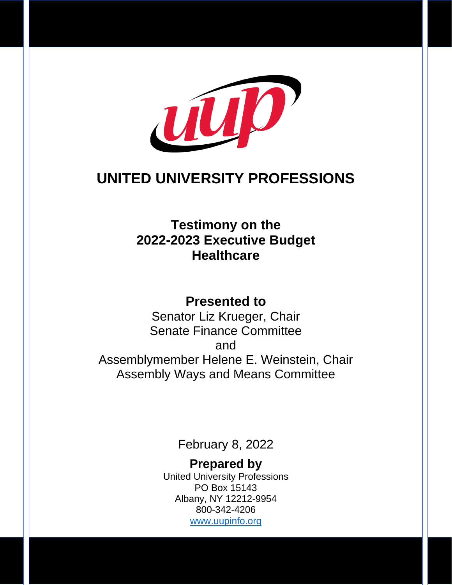

## **UNITED UNIVERSITY PROFESSIONS**

## **Testimony on the 2022-2023 Executive Budget Healthcare**

### **Presented to**

Senator Liz Krueger, Chair Senate Finance Committee and Assemblymember Helene E. Weinstein, Chair Assembly Ways and Means Committee

February 8, 2022

**Prepared by** United University Professions PO Box 15143 Albany, NY 12212-9954 800-342-4206 [www.uupinfo.org](http://www.uupinfo.org/)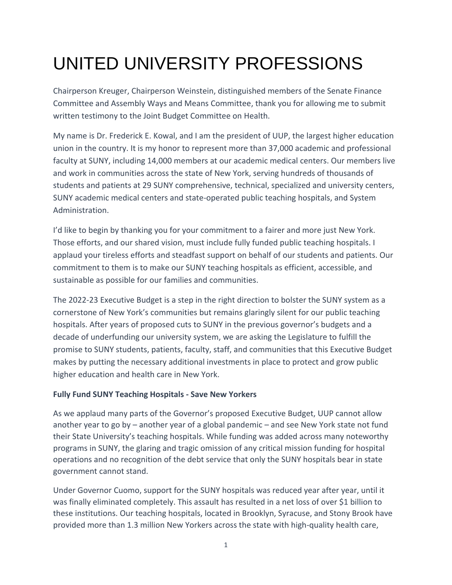# UNITED UNIVERSITY PROFESSIONS

Chairperson Kreuger, Chairperson Weinstein, distinguished members of the Senate Finance Committee and Assembly Ways and Means Committee, thank you for allowing me to submit written testimony to the Joint Budget Committee on Health.

My name is Dr. Frederick E. Kowal, and I am the president of UUP, the largest higher education union in the country. It is my honor to represent more than 37,000 academic and professional faculty at SUNY, including 14,000 members at our academic medical centers. Our members live and work in communities across the state of New York, serving hundreds of thousands of students and patients at 29 SUNY comprehensive, technical, specialized and university centers, SUNY academic medical centers and state-operated public teaching hospitals, and System Administration.

I'd like to begin by thanking you for your commitment to a fairer and more just New York. Those efforts, and our shared vision, must include fully funded public teaching hospitals. I applaud your tireless efforts and steadfast support on behalf of our students and patients. Our commitment to them is to make our SUNY teaching hospitals as efficient, accessible, and sustainable as possible for our families and communities.

The 2022-23 Executive Budget is a step in the right direction to bolster the SUNY system as a cornerstone of New York's communities but remains glaringly silent for our public teaching hospitals. After years of proposed cuts to SUNY in the previous governor's budgets and a decade of underfunding our university system, we are asking the Legislature to fulfill the promise to SUNY students, patients, faculty, staff, and communities that this Executive Budget makes by putting the necessary additional investments in place to protect and grow public higher education and health care in New York.

#### **Fully Fund SUNY Teaching Hospitals - Save New Yorkers**

As we applaud many parts of the Governor's proposed Executive Budget, UUP cannot allow another year to go by – another year of a global pandemic – and see New York state not fund their State University's teaching hospitals. While funding was added across many noteworthy programs in SUNY, the glaring and tragic omission of any critical mission funding for hospital operations and no recognition of the debt service that only the SUNY hospitals bear in state government cannot stand.

Under Governor Cuomo, support for the SUNY hospitals was reduced year after year, until it was finally eliminated completely. This assault has resulted in a net loss of over \$1 billion to these institutions. Our teaching hospitals, located in Brooklyn, Syracuse, and Stony Brook have provided more than 1.3 million New Yorkers across the state with high-quality health care,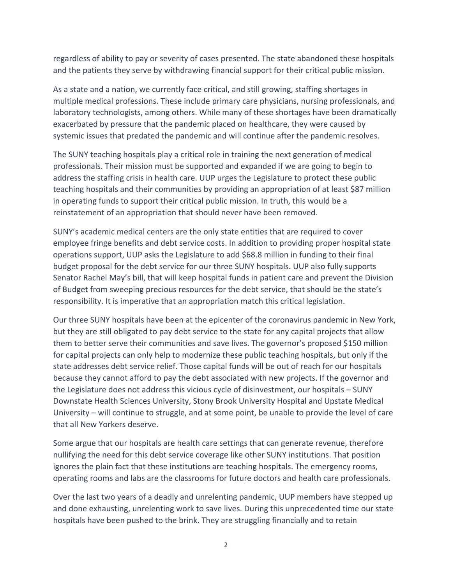regardless of ability to pay or severity of cases presented. The state abandoned these hospitals and the patients they serve by withdrawing financial support for their critical public mission.

As a state and a nation, we currently face critical, and still growing, staffing shortages in multiple medical professions. These include primary care physicians, nursing professionals, and laboratory technologists, among others. While many of these shortages have been dramatically exacerbated by pressure that the pandemic placed on healthcare, they were caused by systemic issues that predated the pandemic and will continue after the pandemic resolves.

The SUNY teaching hospitals play a critical role in training the next generation of medical professionals. Their mission must be supported and expanded if we are going to begin to address the staffing crisis in health care. UUP urges the Legislature to protect these public teaching hospitals and their communities by providing an appropriation of at least \$87 million in operating funds to support their critical public mission. In truth, this would be a reinstatement of an appropriation that should never have been removed.

SUNY's academic medical centers are the only state entities that are required to cover employee fringe benefits and debt service costs. In addition to providing proper hospital state operations support, UUP asks the Legislature to add \$68.8 million in funding to their final budget proposal for the debt service for our three SUNY hospitals. UUP also fully supports Senator Rachel May's bill, that will keep hospital funds in patient care and prevent the Division of Budget from sweeping precious resources for the debt service, that should be the state's responsibility. It is imperative that an appropriation match this critical legislation.

Our three SUNY hospitals have been at the epicenter of the coronavirus pandemic in New York, but they are still obligated to pay debt service to the state for any capital projects that allow them to better serve their communities and save lives. The governor's proposed \$150 million for capital projects can only help to modernize these public teaching hospitals, but only if the state addresses debt service relief. Those capital funds will be out of reach for our hospitals because they cannot afford to pay the debt associated with new projects. If the governor and the Legislature does not address this vicious cycle of disinvestment, our hospitals – SUNY Downstate Health Sciences University, Stony Brook University Hospital and Upstate Medical University – will continue to struggle, and at some point, be unable to provide the level of care that all New Yorkers deserve.

Some argue that our hospitals are health care settings that can generate revenue, therefore nullifying the need for this debt service coverage like other SUNY institutions. That position ignores the plain fact that these institutions are teaching hospitals. The emergency rooms, operating rooms and labs are the classrooms for future doctors and health care professionals.

Over the last two years of a deadly and unrelenting pandemic, UUP members have stepped up and done exhausting, unrelenting work to save lives. During this unprecedented time our state hospitals have been pushed to the brink. They are struggling financially and to retain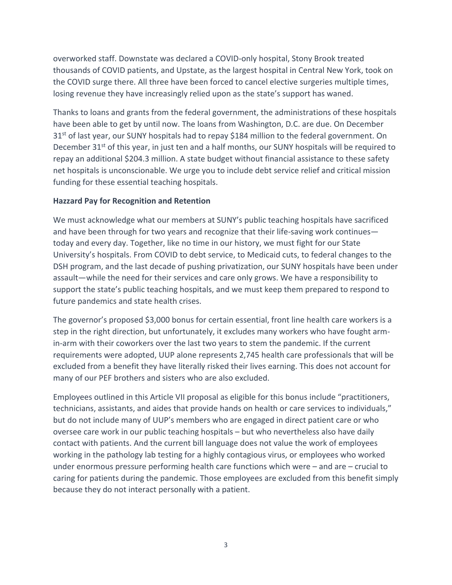overworked staff. Downstate was declared a COVID-only hospital, Stony Brook treated thousands of COVID patients, and Upstate, as the largest hospital in Central New York, took on the COVID surge there. All three have been forced to cancel elective surgeries multiple times, losing revenue they have increasingly relied upon as the state's support has waned.

Thanks to loans and grants from the federal government, the administrations of these hospitals have been able to get by until now. The loans from Washington, D.C. are due. On December 31<sup>st</sup> of last year, our SUNY hospitals had to repay \$184 million to the federal government. On December 31<sup>st</sup> of this year, in just ten and a half months, our SUNY hospitals will be required to repay an additional \$204.3 million. A state budget without financial assistance to these safety net hospitals is unconscionable. We urge you to include debt service relief and critical mission funding for these essential teaching hospitals.

#### **Hazzard Pay for Recognition and Retention**

We must acknowledge what our members at SUNY's public teaching hospitals have sacrificed and have been through for two years and recognize that their life-saving work continues today and every day. Together, like no time in our history, we must fight for our State University's hospitals. From COVID to debt service, to Medicaid cuts, to federal changes to the DSH program, and the last decade of pushing privatization, our SUNY hospitals have been under assault—while the need for their services and care only grows. We have a responsibility to support the state's public teaching hospitals, and we must keep them prepared to respond to future pandemics and state health crises.

The governor's proposed \$3,000 bonus for certain essential, front line health care workers is a step in the right direction, but unfortunately, it excludes many workers who have fought armin-arm with their coworkers over the last two years to stem the pandemic. If the current requirements were adopted, UUP alone represents 2,745 health care professionals that will be excluded from a benefit they have literally risked their lives earning. This does not account for many of our PEF brothers and sisters who are also excluded.

Employees outlined in this Article VII proposal as eligible for this bonus include "practitioners, technicians, assistants, and aides that provide hands on health or care services to individuals," but do not include many of UUP's members who are engaged in direct patient care or who oversee care work in our public teaching hospitals – but who nevertheless also have daily contact with patients. And the current bill language does not value the work of employees working in the pathology lab testing for a highly contagious virus, or employees who worked under enormous pressure performing health care functions which were – and are – crucial to caring for patients during the pandemic. Those employees are excluded from this benefit simply because they do not interact personally with a patient.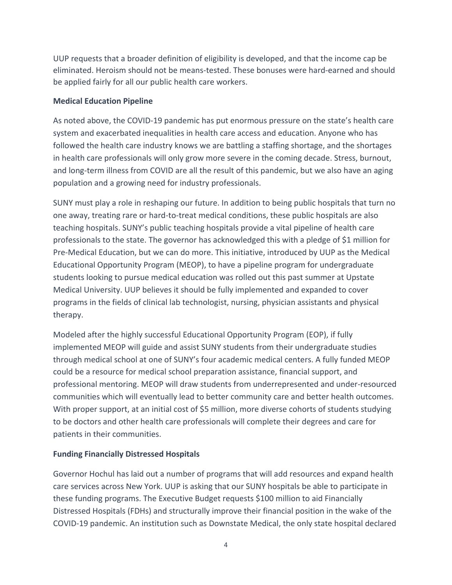UUP requests that a broader definition of eligibility is developed, and that the income cap be eliminated. Heroism should not be means-tested. These bonuses were hard-earned and should be applied fairly for all our public health care workers.

#### **Medical Education Pipeline**

As noted above, the COVID-19 pandemic has put enormous pressure on the state's health care system and exacerbated inequalities in health care access and education. Anyone who has followed the health care industry knows we are battling a staffing shortage, and the shortages in health care professionals will only grow more severe in the coming decade. Stress, burnout, and long-term illness from COVID are all the result of this pandemic, but we also have an aging population and a growing need for industry professionals.

SUNY must play a role in reshaping our future. In addition to being public hospitals that turn no one away, treating rare or hard-to-treat medical conditions, these public hospitals are also teaching hospitals. SUNY's public teaching hospitals provide a vital pipeline of health care professionals to the state. The governor has acknowledged this with a pledge of \$1 million for Pre-Medical Education, but we can do more. This initiative, introduced by UUP as the Medical Educational Opportunity Program (MEOP), to have a pipeline program for undergraduate students looking to pursue medical education was rolled out this past summer at Upstate Medical University. UUP believes it should be fully implemented and expanded to cover programs in the fields of clinical lab technologist, nursing, physician assistants and physical therapy.

Modeled after the highly successful Educational Opportunity Program (EOP), if fully implemented MEOP will guide and assist SUNY students from their undergraduate studies through medical school at one of SUNY's four academic medical centers. A fully funded MEOP could be a resource for medical school preparation assistance, financial support, and professional mentoring. MEOP will draw students from underrepresented and under-resourced communities which will eventually lead to better community care and better health outcomes. With proper support, at an initial cost of \$5 million, more diverse cohorts of students studying to be doctors and other health care professionals will complete their degrees and care for patients in their communities.

#### **Funding Financially Distressed Hospitals**

Governor Hochul has laid out a number of programs that will add resources and expand health care services across New York. UUP is asking that our SUNY hospitals be able to participate in these funding programs. The Executive Budget requests \$100 million to aid Financially Distressed Hospitals (FDHs) and structurally improve their financial position in the wake of the COVID-19 pandemic. An institution such as Downstate Medical, the only state hospital declared